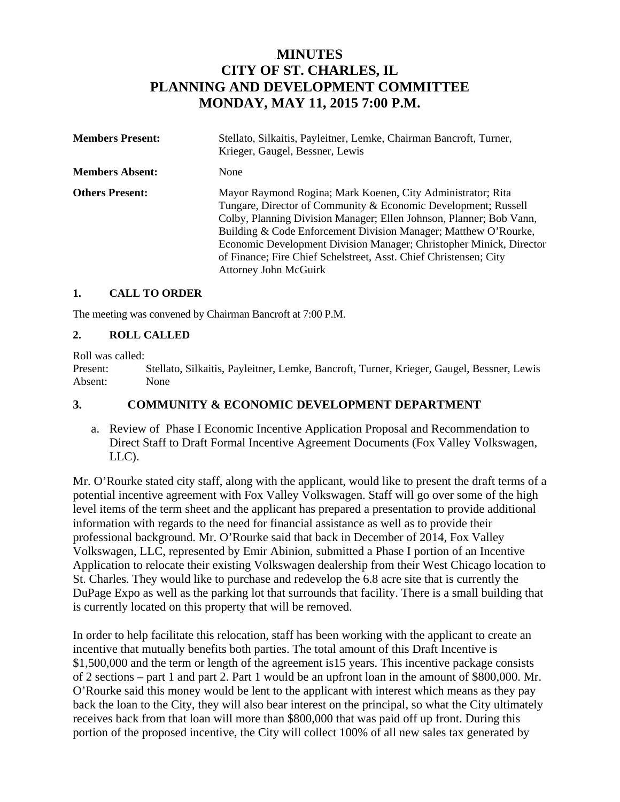# **MINUTES CITY OF ST. CHARLES, IL PLANNING AND DEVELOPMENT COMMITTEE MONDAY, MAY 11, 2015 7:00 P.M.**

| <b>Members Present:</b> | Stellato, Silkaitis, Payleitner, Lemke, Chairman Bancroft, Turner,<br>Krieger, Gaugel, Bessner, Lewis                                                                                                                                                                                                                                                                                                                                               |
|-------------------------|-----------------------------------------------------------------------------------------------------------------------------------------------------------------------------------------------------------------------------------------------------------------------------------------------------------------------------------------------------------------------------------------------------------------------------------------------------|
| <b>Members Absent:</b>  | None                                                                                                                                                                                                                                                                                                                                                                                                                                                |
| <b>Others Present:</b>  | Mayor Raymond Rogina; Mark Koenen, City Administrator; Rita<br>Tungare, Director of Community & Economic Development; Russell<br>Colby, Planning Division Manager; Ellen Johnson, Planner; Bob Vann,<br>Building & Code Enforcement Division Manager; Matthew O'Rourke,<br>Economic Development Division Manager; Christopher Minick, Director<br>of Finance; Fire Chief Schelstreet, Asst. Chief Christensen; City<br><b>Attorney John McGuirk</b> |

#### **1. CALL TO ORDER**

The meeting was convened by Chairman Bancroft at 7:00 P.M.

#### **2. ROLL CALLED**

Roll was called:

Present: Stellato, Silkaitis, Payleitner, Lemke, Bancroft, Turner, Krieger, Gaugel, Bessner, Lewis Absent: None

#### **3. COMMUNITY & ECONOMIC DEVELOPMENT DEPARTMENT**

a. Review of Phase I Economic Incentive Application Proposal and Recommendation to Direct Staff to Draft Formal Incentive Agreement Documents (Fox Valley Volkswagen, LLC).

Mr. O'Rourke stated city staff, along with the applicant, would like to present the draft terms of a potential incentive agreement with Fox Valley Volkswagen. Staff will go over some of the high level items of the term sheet and the applicant has prepared a presentation to provide additional information with regards to the need for financial assistance as well as to provide their professional background. Mr. O'Rourke said that back in December of 2014, Fox Valley Volkswagen, LLC, represented by Emir Abinion, submitted a Phase I portion of an Incentive Application to relocate their existing Volkswagen dealership from their West Chicago location to St. Charles. They would like to purchase and redevelop the 6.8 acre site that is currently the DuPage Expo as well as the parking lot that surrounds that facility. There is a small building that is currently located on this property that will be removed.

In order to help facilitate this relocation, staff has been working with the applicant to create an incentive that mutually benefits both parties. The total amount of this Draft Incentive is \$1,500,000 and the term or length of the agreement is15 years. This incentive package consists of 2 sections – part 1 and part 2. Part 1 would be an upfront loan in the amount of \$800,000. Mr. O'Rourke said this money would be lent to the applicant with interest which means as they pay back the loan to the City, they will also bear interest on the principal, so what the City ultimately receives back from that loan will more than \$800,000 that was paid off up front. During this portion of the proposed incentive, the City will collect 100% of all new sales tax generated by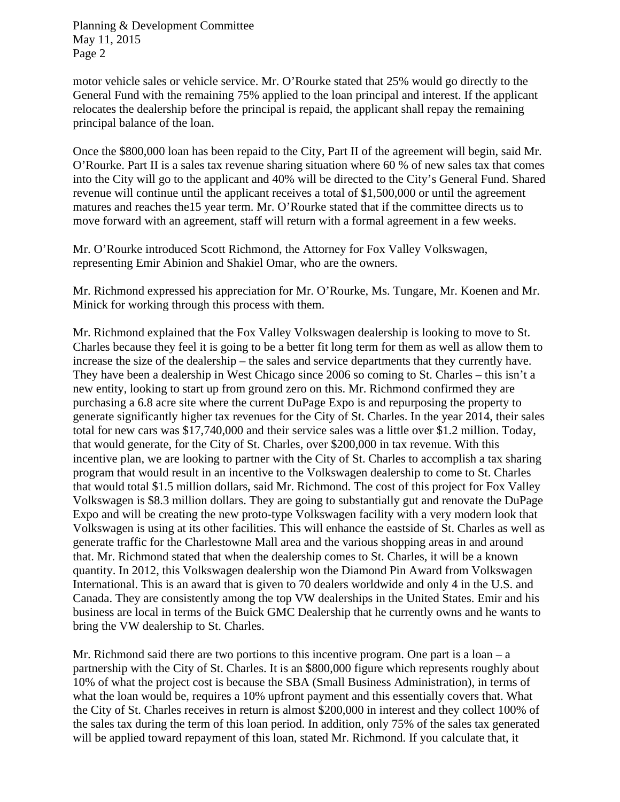motor vehicle sales or vehicle service. Mr. O'Rourke stated that 25% would go directly to the General Fund with the remaining 75% applied to the loan principal and interest. If the applicant relocates the dealership before the principal is repaid, the applicant shall repay the remaining principal balance of the loan.

Once the \$800,000 loan has been repaid to the City, Part II of the agreement will begin, said Mr. O'Rourke. Part II is a sales tax revenue sharing situation where 60 % of new sales tax that comes into the City will go to the applicant and 40% will be directed to the City's General Fund. Shared revenue will continue until the applicant receives a total of \$1,500,000 or until the agreement matures and reaches the15 year term. Mr. O'Rourke stated that if the committee directs us to move forward with an agreement, staff will return with a formal agreement in a few weeks.

Mr. O'Rourke introduced Scott Richmond, the Attorney for Fox Valley Volkswagen, representing Emir Abinion and Shakiel Omar, who are the owners.

Mr. Richmond expressed his appreciation for Mr. O'Rourke, Ms. Tungare, Mr. Koenen and Mr. Minick for working through this process with them.

Mr. Richmond explained that the Fox Valley Volkswagen dealership is looking to move to St. Charles because they feel it is going to be a better fit long term for them as well as allow them to increase the size of the dealership – the sales and service departments that they currently have. They have been a dealership in West Chicago since 2006 so coming to St. Charles – this isn't a new entity, looking to start up from ground zero on this. Mr. Richmond confirmed they are purchasing a 6.8 acre site where the current DuPage Expo is and repurposing the property to generate significantly higher tax revenues for the City of St. Charles. In the year 2014, their sales total for new cars was \$17,740,000 and their service sales was a little over \$1.2 million. Today, that would generate, for the City of St. Charles, over \$200,000 in tax revenue. With this incentive plan, we are looking to partner with the City of St. Charles to accomplish a tax sharing program that would result in an incentive to the Volkswagen dealership to come to St. Charles that would total \$1.5 million dollars, said Mr. Richmond. The cost of this project for Fox Valley Volkswagen is \$8.3 million dollars. They are going to substantially gut and renovate the DuPage Expo and will be creating the new proto-type Volkswagen facility with a very modern look that Volkswagen is using at its other facilities. This will enhance the eastside of St. Charles as well as generate traffic for the Charlestowne Mall area and the various shopping areas in and around that. Mr. Richmond stated that when the dealership comes to St. Charles, it will be a known quantity. In 2012, this Volkswagen dealership won the Diamond Pin Award from Volkswagen International. This is an award that is given to 70 dealers worldwide and only 4 in the U.S. and Canada. They are consistently among the top VW dealerships in the United States. Emir and his business are local in terms of the Buick GMC Dealership that he currently owns and he wants to bring the VW dealership to St. Charles.

Mr. Richmond said there are two portions to this incentive program. One part is a loan  $-a$ partnership with the City of St. Charles. It is an \$800,000 figure which represents roughly about 10% of what the project cost is because the SBA (Small Business Administration), in terms of what the loan would be, requires a 10% upfront payment and this essentially covers that. What the City of St. Charles receives in return is almost \$200,000 in interest and they collect 100% of the sales tax during the term of this loan period. In addition, only 75% of the sales tax generated will be applied toward repayment of this loan, stated Mr. Richmond. If you calculate that, it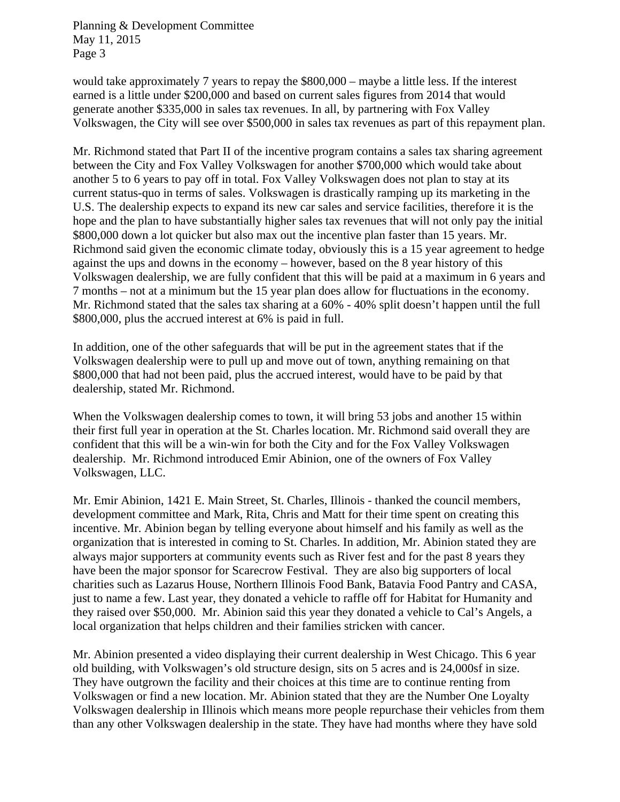would take approximately 7 years to repay the \$800,000 – maybe a little less. If the interest earned is a little under \$200,000 and based on current sales figures from 2014 that would generate another \$335,000 in sales tax revenues. In all, by partnering with Fox Valley Volkswagen, the City will see over \$500,000 in sales tax revenues as part of this repayment plan.

Mr. Richmond stated that Part II of the incentive program contains a sales tax sharing agreement between the City and Fox Valley Volkswagen for another \$700,000 which would take about another 5 to 6 years to pay off in total. Fox Valley Volkswagen does not plan to stay at its current status-quo in terms of sales. Volkswagen is drastically ramping up its marketing in the U.S. The dealership expects to expand its new car sales and service facilities, therefore it is the hope and the plan to have substantially higher sales tax revenues that will not only pay the initial \$800,000 down a lot quicker but also max out the incentive plan faster than 15 years. Mr. Richmond said given the economic climate today, obviously this is a 15 year agreement to hedge against the ups and downs in the economy – however, based on the 8 year history of this Volkswagen dealership, we are fully confident that this will be paid at a maximum in 6 years and 7 months – not at a minimum but the 15 year plan does allow for fluctuations in the economy. Mr. Richmond stated that the sales tax sharing at a 60% - 40% split doesn't happen until the full \$800,000, plus the accrued interest at 6% is paid in full.

In addition, one of the other safeguards that will be put in the agreement states that if the Volkswagen dealership were to pull up and move out of town, anything remaining on that \$800,000 that had not been paid, plus the accrued interest, would have to be paid by that dealership, stated Mr. Richmond.

When the Volkswagen dealership comes to town, it will bring 53 jobs and another 15 within their first full year in operation at the St. Charles location. Mr. Richmond said overall they are confident that this will be a win-win for both the City and for the Fox Valley Volkswagen dealership. Mr. Richmond introduced Emir Abinion, one of the owners of Fox Valley Volkswagen, LLC.

Mr. Emir Abinion, 1421 E. Main Street, St. Charles, Illinois - thanked the council members, development committee and Mark, Rita, Chris and Matt for their time spent on creating this incentive. Mr. Abinion began by telling everyone about himself and his family as well as the organization that is interested in coming to St. Charles. In addition, Mr. Abinion stated they are always major supporters at community events such as River fest and for the past 8 years they have been the major sponsor for Scarecrow Festival. They are also big supporters of local charities such as Lazarus House, Northern Illinois Food Bank, Batavia Food Pantry and CASA, just to name a few. Last year, they donated a vehicle to raffle off for Habitat for Humanity and they raised over \$50,000. Mr. Abinion said this year they donated a vehicle to Cal's Angels, a local organization that helps children and their families stricken with cancer.

Mr. Abinion presented a video displaying their current dealership in West Chicago. This 6 year old building, with Volkswagen's old structure design, sits on 5 acres and is 24,000sf in size. They have outgrown the facility and their choices at this time are to continue renting from Volkswagen or find a new location. Mr. Abinion stated that they are the Number One Loyalty Volkswagen dealership in Illinois which means more people repurchase their vehicles from them than any other Volkswagen dealership in the state. They have had months where they have sold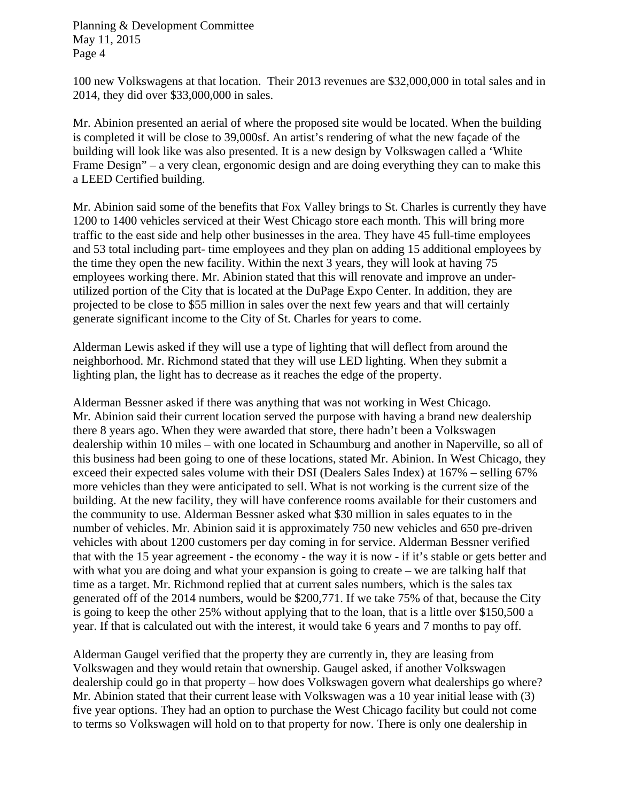100 new Volkswagens at that location. Their 2013 revenues are \$32,000,000 in total sales and in 2014, they did over \$33,000,000 in sales.

Mr. Abinion presented an aerial of where the proposed site would be located. When the building is completed it will be close to 39,000sf. An artist's rendering of what the new façade of the building will look like was also presented. It is a new design by Volkswagen called a 'White Frame Design" – a very clean, ergonomic design and are doing everything they can to make this a LEED Certified building.

Mr. Abinion said some of the benefits that Fox Valley brings to St. Charles is currently they have 1200 to 1400 vehicles serviced at their West Chicago store each month. This will bring more traffic to the east side and help other businesses in the area. They have 45 full-time employees and 53 total including part- time employees and they plan on adding 15 additional employees by the time they open the new facility. Within the next 3 years, they will look at having 75 employees working there. Mr. Abinion stated that this will renovate and improve an underutilized portion of the City that is located at the DuPage Expo Center. In addition, they are projected to be close to \$55 million in sales over the next few years and that will certainly generate significant income to the City of St. Charles for years to come.

Alderman Lewis asked if they will use a type of lighting that will deflect from around the neighborhood. Mr. Richmond stated that they will use LED lighting. When they submit a lighting plan, the light has to decrease as it reaches the edge of the property.

Alderman Bessner asked if there was anything that was not working in West Chicago. Mr. Abinion said their current location served the purpose with having a brand new dealership there 8 years ago. When they were awarded that store, there hadn't been a Volkswagen dealership within 10 miles – with one located in Schaumburg and another in Naperville, so all of this business had been going to one of these locations, stated Mr. Abinion. In West Chicago, they exceed their expected sales volume with their DSI (Dealers Sales Index) at 167% – selling 67% more vehicles than they were anticipated to sell. What is not working is the current size of the building. At the new facility, they will have conference rooms available for their customers and the community to use. Alderman Bessner asked what \$30 million in sales equates to in the number of vehicles. Mr. Abinion said it is approximately 750 new vehicles and 650 pre-driven vehicles with about 1200 customers per day coming in for service. Alderman Bessner verified that with the 15 year agreement - the economy - the way it is now - if it's stable or gets better and with what you are doing and what your expansion is going to create – we are talking half that time as a target. Mr. Richmond replied that at current sales numbers, which is the sales tax generated off of the 2014 numbers, would be \$200,771. If we take 75% of that, because the City is going to keep the other 25% without applying that to the loan, that is a little over \$150,500 a year. If that is calculated out with the interest, it would take 6 years and 7 months to pay off.

Alderman Gaugel verified that the property they are currently in, they are leasing from Volkswagen and they would retain that ownership. Gaugel asked, if another Volkswagen dealership could go in that property – how does Volkswagen govern what dealerships go where? Mr. Abinion stated that their current lease with Volkswagen was a 10 year initial lease with (3) five year options. They had an option to purchase the West Chicago facility but could not come to terms so Volkswagen will hold on to that property for now. There is only one dealership in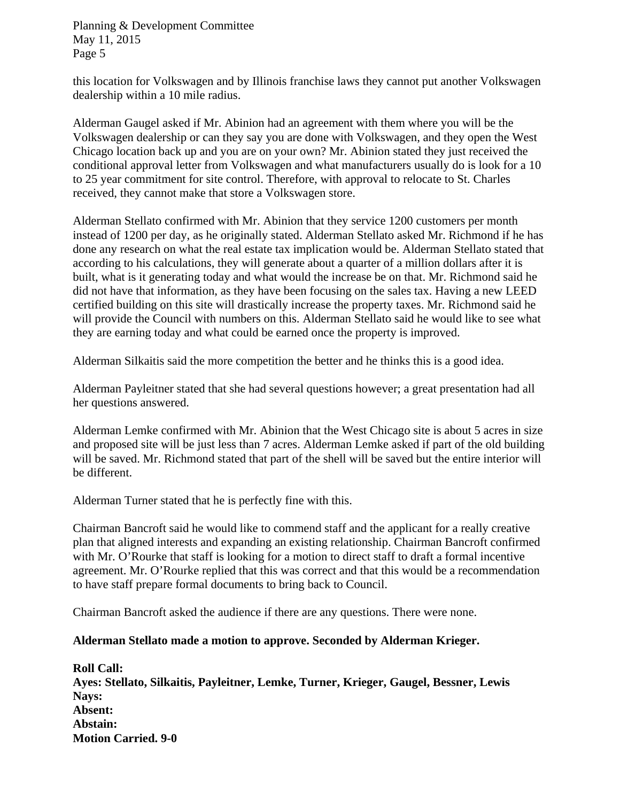this location for Volkswagen and by Illinois franchise laws they cannot put another Volkswagen dealership within a 10 mile radius.

Alderman Gaugel asked if Mr. Abinion had an agreement with them where you will be the Volkswagen dealership or can they say you are done with Volkswagen, and they open the West Chicago location back up and you are on your own? Mr. Abinion stated they just received the conditional approval letter from Volkswagen and what manufacturers usually do is look for a 10 to 25 year commitment for site control. Therefore, with approval to relocate to St. Charles received, they cannot make that store a Volkswagen store.

Alderman Stellato confirmed with Mr. Abinion that they service 1200 customers per month instead of 1200 per day, as he originally stated. Alderman Stellato asked Mr. Richmond if he has done any research on what the real estate tax implication would be. Alderman Stellato stated that according to his calculations, they will generate about a quarter of a million dollars after it is built, what is it generating today and what would the increase be on that. Mr. Richmond said he did not have that information, as they have been focusing on the sales tax. Having a new LEED certified building on this site will drastically increase the property taxes. Mr. Richmond said he will provide the Council with numbers on this. Alderman Stellato said he would like to see what they are earning today and what could be earned once the property is improved.

Alderman Silkaitis said the more competition the better and he thinks this is a good idea.

Alderman Payleitner stated that she had several questions however; a great presentation had all her questions answered.

Alderman Lemke confirmed with Mr. Abinion that the West Chicago site is about 5 acres in size and proposed site will be just less than 7 acres. Alderman Lemke asked if part of the old building will be saved. Mr. Richmond stated that part of the shell will be saved but the entire interior will be different.

Alderman Turner stated that he is perfectly fine with this.

Chairman Bancroft said he would like to commend staff and the applicant for a really creative plan that aligned interests and expanding an existing relationship. Chairman Bancroft confirmed with Mr. O'Rourke that staff is looking for a motion to direct staff to draft a formal incentive agreement. Mr. O'Rourke replied that this was correct and that this would be a recommendation to have staff prepare formal documents to bring back to Council.

Chairman Bancroft asked the audience if there are any questions. There were none.

#### **Alderman Stellato made a motion to approve. Seconded by Alderman Krieger.**

**Roll Call: Ayes: Stellato, Silkaitis, Payleitner, Lemke, Turner, Krieger, Gaugel, Bessner, Lewis Nays: Absent: Abstain: Motion Carried. 9-0**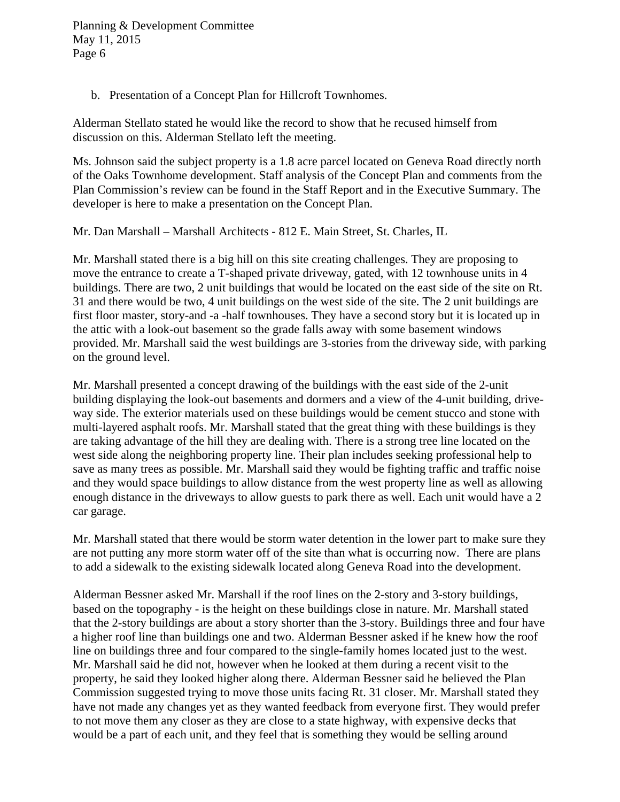b. Presentation of a Concept Plan for Hillcroft Townhomes.

Alderman Stellato stated he would like the record to show that he recused himself from discussion on this. Alderman Stellato left the meeting.

Ms. Johnson said the subject property is a 1.8 acre parcel located on Geneva Road directly north of the Oaks Townhome development. Staff analysis of the Concept Plan and comments from the Plan Commission's review can be found in the Staff Report and in the Executive Summary. The developer is here to make a presentation on the Concept Plan.

Mr. Dan Marshall – Marshall Architects - 812 E. Main Street, St. Charles, IL

Mr. Marshall stated there is a big hill on this site creating challenges. They are proposing to move the entrance to create a T-shaped private driveway, gated, with 12 townhouse units in 4 buildings. There are two, 2 unit buildings that would be located on the east side of the site on Rt. 31 and there would be two, 4 unit buildings on the west side of the site. The 2 unit buildings are first floor master, story-and -a -half townhouses. They have a second story but it is located up in the attic with a look-out basement so the grade falls away with some basement windows provided. Mr. Marshall said the west buildings are 3-stories from the driveway side, with parking on the ground level.

Mr. Marshall presented a concept drawing of the buildings with the east side of the 2-unit building displaying the look-out basements and dormers and a view of the 4-unit building, driveway side. The exterior materials used on these buildings would be cement stucco and stone with multi-layered asphalt roofs. Mr. Marshall stated that the great thing with these buildings is they are taking advantage of the hill they are dealing with. There is a strong tree line located on the west side along the neighboring property line. Their plan includes seeking professional help to save as many trees as possible. Mr. Marshall said they would be fighting traffic and traffic noise and they would space buildings to allow distance from the west property line as well as allowing enough distance in the driveways to allow guests to park there as well. Each unit would have a 2 car garage.

Mr. Marshall stated that there would be storm water detention in the lower part to make sure they are not putting any more storm water off of the site than what is occurring now. There are plans to add a sidewalk to the existing sidewalk located along Geneva Road into the development.

Alderman Bessner asked Mr. Marshall if the roof lines on the 2-story and 3-story buildings, based on the topography - is the height on these buildings close in nature. Mr. Marshall stated that the 2-story buildings are about a story shorter than the 3-story. Buildings three and four have a higher roof line than buildings one and two. Alderman Bessner asked if he knew how the roof line on buildings three and four compared to the single-family homes located just to the west. Mr. Marshall said he did not, however when he looked at them during a recent visit to the property, he said they looked higher along there. Alderman Bessner said he believed the Plan Commission suggested trying to move those units facing Rt. 31 closer. Mr. Marshall stated they have not made any changes yet as they wanted feedback from everyone first. They would prefer to not move them any closer as they are close to a state highway, with expensive decks that would be a part of each unit, and they feel that is something they would be selling around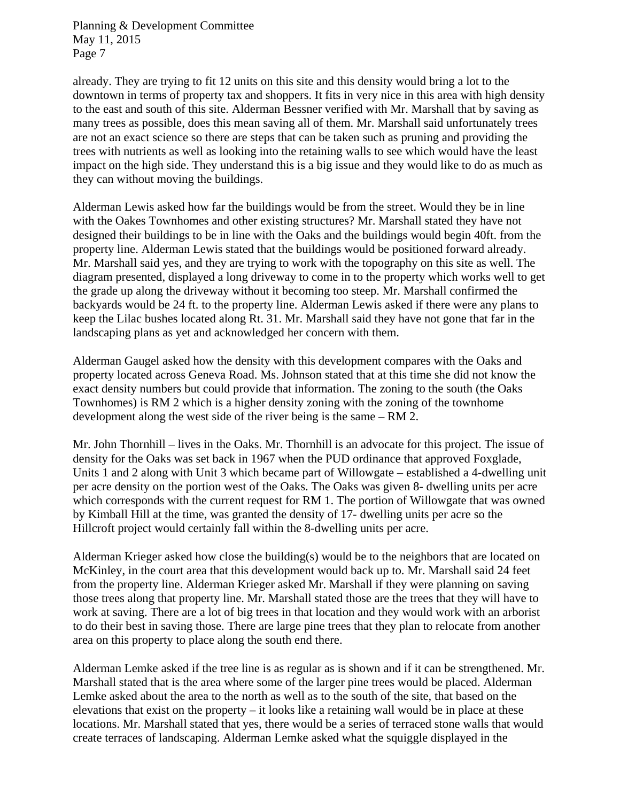already. They are trying to fit 12 units on this site and this density would bring a lot to the downtown in terms of property tax and shoppers. It fits in very nice in this area with high density to the east and south of this site. Alderman Bessner verified with Mr. Marshall that by saving as many trees as possible, does this mean saving all of them. Mr. Marshall said unfortunately trees are not an exact science so there are steps that can be taken such as pruning and providing the trees with nutrients as well as looking into the retaining walls to see which would have the least impact on the high side. They understand this is a big issue and they would like to do as much as they can without moving the buildings.

Alderman Lewis asked how far the buildings would be from the street. Would they be in line with the Oakes Townhomes and other existing structures? Mr. Marshall stated they have not designed their buildings to be in line with the Oaks and the buildings would begin 40ft. from the property line. Alderman Lewis stated that the buildings would be positioned forward already. Mr. Marshall said yes, and they are trying to work with the topography on this site as well. The diagram presented, displayed a long driveway to come in to the property which works well to get the grade up along the driveway without it becoming too steep. Mr. Marshall confirmed the backyards would be 24 ft. to the property line. Alderman Lewis asked if there were any plans to keep the Lilac bushes located along Rt. 31. Mr. Marshall said they have not gone that far in the landscaping plans as yet and acknowledged her concern with them.

Alderman Gaugel asked how the density with this development compares with the Oaks and property located across Geneva Road. Ms. Johnson stated that at this time she did not know the exact density numbers but could provide that information. The zoning to the south (the Oaks Townhomes) is RM 2 which is a higher density zoning with the zoning of the townhome development along the west side of the river being is the same – RM 2.

Mr. John Thornhill – lives in the Oaks. Mr. Thornhill is an advocate for this project. The issue of density for the Oaks was set back in 1967 when the PUD ordinance that approved Foxglade, Units 1 and 2 along with Unit 3 which became part of Willowgate – established a 4-dwelling unit per acre density on the portion west of the Oaks. The Oaks was given 8- dwelling units per acre which corresponds with the current request for RM 1. The portion of Willowgate that was owned by Kimball Hill at the time, was granted the density of 17- dwelling units per acre so the Hillcroft project would certainly fall within the 8-dwelling units per acre.

Alderman Krieger asked how close the building(s) would be to the neighbors that are located on McKinley, in the court area that this development would back up to. Mr. Marshall said 24 feet from the property line. Alderman Krieger asked Mr. Marshall if they were planning on saving those trees along that property line. Mr. Marshall stated those are the trees that they will have to work at saving. There are a lot of big trees in that location and they would work with an arborist to do their best in saving those. There are large pine trees that they plan to relocate from another area on this property to place along the south end there.

Alderman Lemke asked if the tree line is as regular as is shown and if it can be strengthened. Mr. Marshall stated that is the area where some of the larger pine trees would be placed. Alderman Lemke asked about the area to the north as well as to the south of the site, that based on the elevations that exist on the property – it looks like a retaining wall would be in place at these locations. Mr. Marshall stated that yes, there would be a series of terraced stone walls that would create terraces of landscaping. Alderman Lemke asked what the squiggle displayed in the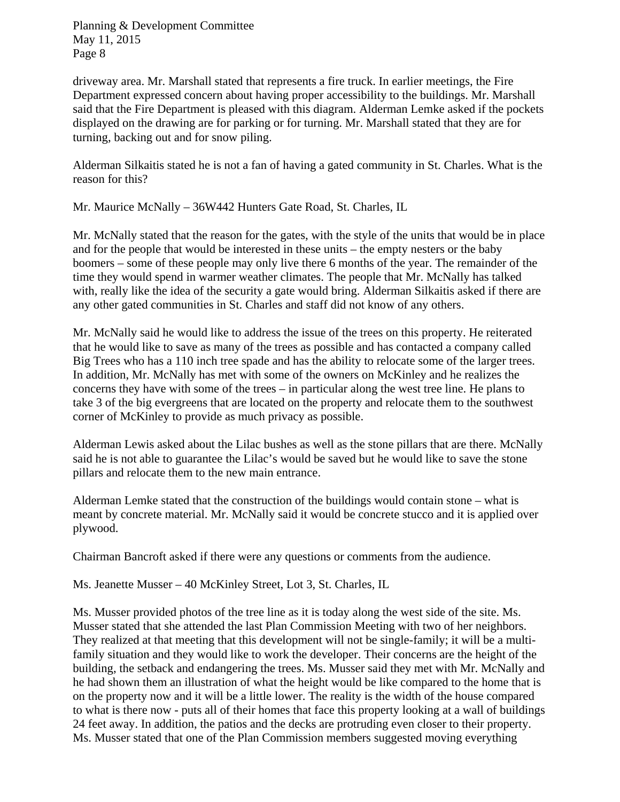driveway area. Mr. Marshall stated that represents a fire truck. In earlier meetings, the Fire Department expressed concern about having proper accessibility to the buildings. Mr. Marshall said that the Fire Department is pleased with this diagram. Alderman Lemke asked if the pockets displayed on the drawing are for parking or for turning. Mr. Marshall stated that they are for turning, backing out and for snow piling.

Alderman Silkaitis stated he is not a fan of having a gated community in St. Charles. What is the reason for this?

Mr. Maurice McNally – 36W442 Hunters Gate Road, St. Charles, IL

Mr. McNally stated that the reason for the gates, with the style of the units that would be in place and for the people that would be interested in these units – the empty nesters or the baby boomers – some of these people may only live there 6 months of the year. The remainder of the time they would spend in warmer weather climates. The people that Mr. McNally has talked with, really like the idea of the security a gate would bring. Alderman Silkaitis asked if there are any other gated communities in St. Charles and staff did not know of any others.

Mr. McNally said he would like to address the issue of the trees on this property. He reiterated that he would like to save as many of the trees as possible and has contacted a company called Big Trees who has a 110 inch tree spade and has the ability to relocate some of the larger trees. In addition, Mr. McNally has met with some of the owners on McKinley and he realizes the concerns they have with some of the trees – in particular along the west tree line. He plans to take 3 of the big evergreens that are located on the property and relocate them to the southwest corner of McKinley to provide as much privacy as possible.

Alderman Lewis asked about the Lilac bushes as well as the stone pillars that are there. McNally said he is not able to guarantee the Lilac's would be saved but he would like to save the stone pillars and relocate them to the new main entrance.

Alderman Lemke stated that the construction of the buildings would contain stone – what is meant by concrete material. Mr. McNally said it would be concrete stucco and it is applied over plywood.

Chairman Bancroft asked if there were any questions or comments from the audience.

Ms. Jeanette Musser – 40 McKinley Street, Lot 3, St. Charles, IL

Ms. Musser provided photos of the tree line as it is today along the west side of the site. Ms. Musser stated that she attended the last Plan Commission Meeting with two of her neighbors. They realized at that meeting that this development will not be single-family; it will be a multifamily situation and they would like to work the developer. Their concerns are the height of the building, the setback and endangering the trees. Ms. Musser said they met with Mr. McNally and he had shown them an illustration of what the height would be like compared to the home that is on the property now and it will be a little lower. The reality is the width of the house compared to what is there now - puts all of their homes that face this property looking at a wall of buildings 24 feet away. In addition, the patios and the decks are protruding even closer to their property. Ms. Musser stated that one of the Plan Commission members suggested moving everything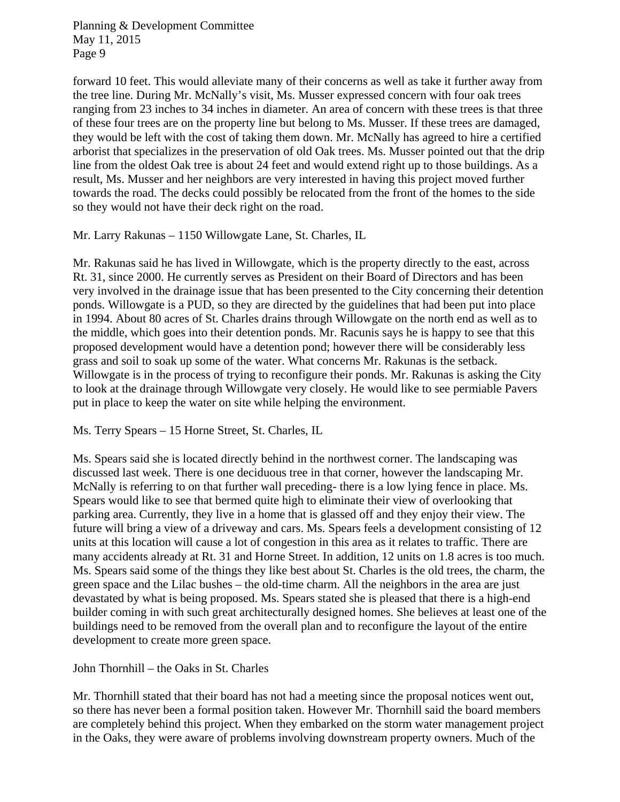forward 10 feet. This would alleviate many of their concerns as well as take it further away from the tree line. During Mr. McNally's visit, Ms. Musser expressed concern with four oak trees ranging from 23 inches to 34 inches in diameter. An area of concern with these trees is that three of these four trees are on the property line but belong to Ms. Musser. If these trees are damaged, they would be left with the cost of taking them down. Mr. McNally has agreed to hire a certified arborist that specializes in the preservation of old Oak trees. Ms. Musser pointed out that the drip line from the oldest Oak tree is about 24 feet and would extend right up to those buildings. As a result, Ms. Musser and her neighbors are very interested in having this project moved further towards the road. The decks could possibly be relocated from the front of the homes to the side so they would not have their deck right on the road.

Mr. Larry Rakunas – 1150 Willowgate Lane, St. Charles, IL

Mr. Rakunas said he has lived in Willowgate, which is the property directly to the east, across Rt. 31, since 2000. He currently serves as President on their Board of Directors and has been very involved in the drainage issue that has been presented to the City concerning their detention ponds. Willowgate is a PUD, so they are directed by the guidelines that had been put into place in 1994. About 80 acres of St. Charles drains through Willowgate on the north end as well as to the middle, which goes into their detention ponds. Mr. Racunis says he is happy to see that this proposed development would have a detention pond; however there will be considerably less grass and soil to soak up some of the water. What concerns Mr. Rakunas is the setback. Willowgate is in the process of trying to reconfigure their ponds. Mr. Rakunas is asking the City to look at the drainage through Willowgate very closely. He would like to see permiable Pavers put in place to keep the water on site while helping the environment.

#### Ms. Terry Spears – 15 Horne Street, St. Charles, IL

Ms. Spears said she is located directly behind in the northwest corner. The landscaping was discussed last week. There is one deciduous tree in that corner, however the landscaping Mr. McNally is referring to on that further wall preceding- there is a low lying fence in place. Ms. Spears would like to see that bermed quite high to eliminate their view of overlooking that parking area. Currently, they live in a home that is glassed off and they enjoy their view. The future will bring a view of a driveway and cars. Ms. Spears feels a development consisting of 12 units at this location will cause a lot of congestion in this area as it relates to traffic. There are many accidents already at Rt. 31 and Horne Street. In addition, 12 units on 1.8 acres is too much. Ms. Spears said some of the things they like best about St. Charles is the old trees, the charm, the green space and the Lilac bushes – the old-time charm. All the neighbors in the area are just devastated by what is being proposed. Ms. Spears stated she is pleased that there is a high-end builder coming in with such great architecturally designed homes. She believes at least one of the buildings need to be removed from the overall plan and to reconfigure the layout of the entire development to create more green space.

John Thornhill – the Oaks in St. Charles

Mr. Thornhill stated that their board has not had a meeting since the proposal notices went out, so there has never been a formal position taken. However Mr. Thornhill said the board members are completely behind this project. When they embarked on the storm water management project in the Oaks, they were aware of problems involving downstream property owners. Much of the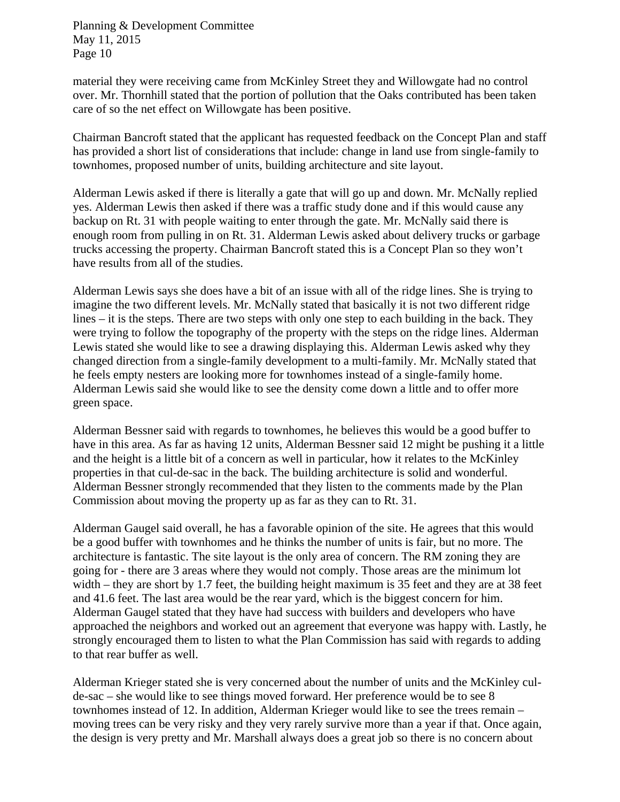material they were receiving came from McKinley Street they and Willowgate had no control over. Mr. Thornhill stated that the portion of pollution that the Oaks contributed has been taken care of so the net effect on Willowgate has been positive.

Chairman Bancroft stated that the applicant has requested feedback on the Concept Plan and staff has provided a short list of considerations that include: change in land use from single-family to townhomes, proposed number of units, building architecture and site layout.

Alderman Lewis asked if there is literally a gate that will go up and down. Mr. McNally replied yes. Alderman Lewis then asked if there was a traffic study done and if this would cause any backup on Rt. 31 with people waiting to enter through the gate. Mr. McNally said there is enough room from pulling in on Rt. 31. Alderman Lewis asked about delivery trucks or garbage trucks accessing the property. Chairman Bancroft stated this is a Concept Plan so they won't have results from all of the studies.

Alderman Lewis says she does have a bit of an issue with all of the ridge lines. She is trying to imagine the two different levels. Mr. McNally stated that basically it is not two different ridge lines – it is the steps. There are two steps with only one step to each building in the back. They were trying to follow the topography of the property with the steps on the ridge lines. Alderman Lewis stated she would like to see a drawing displaying this. Alderman Lewis asked why they changed direction from a single-family development to a multi-family. Mr. McNally stated that he feels empty nesters are looking more for townhomes instead of a single-family home. Alderman Lewis said she would like to see the density come down a little and to offer more green space.

Alderman Bessner said with regards to townhomes, he believes this would be a good buffer to have in this area. As far as having 12 units, Alderman Bessner said 12 might be pushing it a little and the height is a little bit of a concern as well in particular, how it relates to the McKinley properties in that cul-de-sac in the back. The building architecture is solid and wonderful. Alderman Bessner strongly recommended that they listen to the comments made by the Plan Commission about moving the property up as far as they can to Rt. 31.

Alderman Gaugel said overall, he has a favorable opinion of the site. He agrees that this would be a good buffer with townhomes and he thinks the number of units is fair, but no more. The architecture is fantastic. The site layout is the only area of concern. The RM zoning they are going for - there are 3 areas where they would not comply. Those areas are the minimum lot width – they are short by 1.7 feet, the building height maximum is 35 feet and they are at 38 feet and 41.6 feet. The last area would be the rear yard, which is the biggest concern for him. Alderman Gaugel stated that they have had success with builders and developers who have approached the neighbors and worked out an agreement that everyone was happy with. Lastly, he strongly encouraged them to listen to what the Plan Commission has said with regards to adding to that rear buffer as well.

Alderman Krieger stated she is very concerned about the number of units and the McKinley culde-sac – she would like to see things moved forward. Her preference would be to see 8 townhomes instead of 12. In addition, Alderman Krieger would like to see the trees remain – moving trees can be very risky and they very rarely survive more than a year if that. Once again, the design is very pretty and Mr. Marshall always does a great job so there is no concern about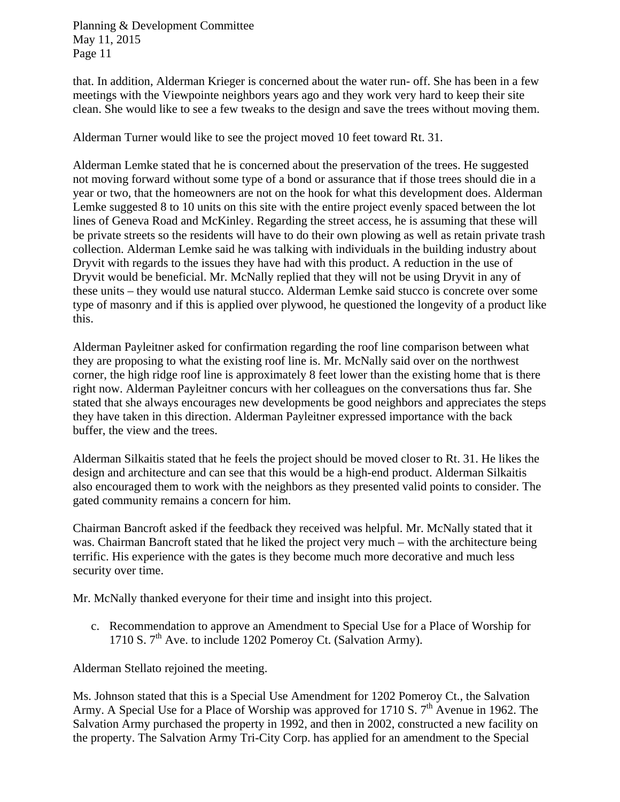that. In addition, Alderman Krieger is concerned about the water run- off. She has been in a few meetings with the Viewpointe neighbors years ago and they work very hard to keep their site clean. She would like to see a few tweaks to the design and save the trees without moving them.

Alderman Turner would like to see the project moved 10 feet toward Rt. 31.

Alderman Lemke stated that he is concerned about the preservation of the trees. He suggested not moving forward without some type of a bond or assurance that if those trees should die in a year or two, that the homeowners are not on the hook for what this development does. Alderman Lemke suggested 8 to 10 units on this site with the entire project evenly spaced between the lot lines of Geneva Road and McKinley. Regarding the street access, he is assuming that these will be private streets so the residents will have to do their own plowing as well as retain private trash collection. Alderman Lemke said he was talking with individuals in the building industry about Dryvit with regards to the issues they have had with this product. A reduction in the use of Dryvit would be beneficial. Mr. McNally replied that they will not be using Dryvit in any of these units – they would use natural stucco. Alderman Lemke said stucco is concrete over some type of masonry and if this is applied over plywood, he questioned the longevity of a product like this.

Alderman Payleitner asked for confirmation regarding the roof line comparison between what they are proposing to what the existing roof line is. Mr. McNally said over on the northwest corner, the high ridge roof line is approximately 8 feet lower than the existing home that is there right now. Alderman Payleitner concurs with her colleagues on the conversations thus far. She stated that she always encourages new developments be good neighbors and appreciates the steps they have taken in this direction. Alderman Payleitner expressed importance with the back buffer, the view and the trees.

Alderman Silkaitis stated that he feels the project should be moved closer to Rt. 31. He likes the design and architecture and can see that this would be a high-end product. Alderman Silkaitis also encouraged them to work with the neighbors as they presented valid points to consider. The gated community remains a concern for him.

Chairman Bancroft asked if the feedback they received was helpful. Mr. McNally stated that it was. Chairman Bancroft stated that he liked the project very much – with the architecture being terrific. His experience with the gates is they become much more decorative and much less security over time.

Mr. McNally thanked everyone for their time and insight into this project.

c. Recommendation to approve an Amendment to Special Use for a Place of Worship for 1710 S. 7<sup>th</sup> Ave. to include 1202 Pomeroy Ct. (Salvation Army).

Alderman Stellato rejoined the meeting.

Ms. Johnson stated that this is a Special Use Amendment for 1202 Pomeroy Ct., the Salvation Army. A Special Use for a Place of Worship was approved for 1710 S.  $7<sup>th</sup>$  Avenue in 1962. The Salvation Army purchased the property in 1992, and then in 2002, constructed a new facility on the property. The Salvation Army Tri-City Corp. has applied for an amendment to the Special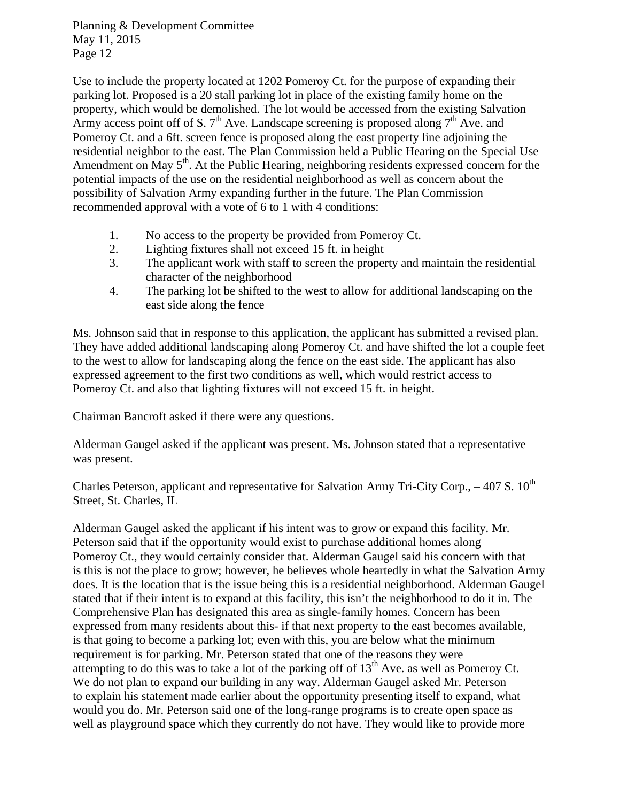Use to include the property located at 1202 Pomeroy Ct. for the purpose of expanding their parking lot. Proposed is a 20 stall parking lot in place of the existing family home on the property, which would be demolished. The lot would be accessed from the existing Salvation Army access point off of S.  $7<sup>th</sup>$  Ave. Landscape screening is proposed along  $7<sup>th</sup>$  Ave. and Pomeroy Ct. and a 6ft. screen fence is proposed along the east property line adjoining the residential neighbor to the east. The Plan Commission held a Public Hearing on the Special Use Amendment on May 5<sup>th</sup>. At the Public Hearing, neighboring residents expressed concern for the potential impacts of the use on the residential neighborhood as well as concern about the possibility of Salvation Army expanding further in the future. The Plan Commission recommended approval with a vote of 6 to 1 with 4 conditions:

- 1. No access to the property be provided from Pomeroy Ct.
- 2. Lighting fixtures shall not exceed 15 ft. in height
- 3. The applicant work with staff to screen the property and maintain the residential character of the neighborhood
- 4. The parking lot be shifted to the west to allow for additional landscaping on the east side along the fence

Ms. Johnson said that in response to this application, the applicant has submitted a revised plan. They have added additional landscaping along Pomeroy Ct. and have shifted the lot a couple feet to the west to allow for landscaping along the fence on the east side. The applicant has also expressed agreement to the first two conditions as well, which would restrict access to Pomeroy Ct. and also that lighting fixtures will not exceed 15 ft. in height.

Chairman Bancroft asked if there were any questions.

Alderman Gaugel asked if the applicant was present. Ms. Johnson stated that a representative was present.

Charles Peterson, applicant and representative for Salvation Army Tri-City Corp.,  $-407$  S.  $10^{th}$ Street, St. Charles, IL

Alderman Gaugel asked the applicant if his intent was to grow or expand this facility. Mr. Peterson said that if the opportunity would exist to purchase additional homes along Pomeroy Ct., they would certainly consider that. Alderman Gaugel said his concern with that is this is not the place to grow; however, he believes whole heartedly in what the Salvation Army does. It is the location that is the issue being this is a residential neighborhood. Alderman Gaugel stated that if their intent is to expand at this facility, this isn't the neighborhood to do it in. The Comprehensive Plan has designated this area as single-family homes. Concern has been expressed from many residents about this- if that next property to the east becomes available, is that going to become a parking lot; even with this, you are below what the minimum requirement is for parking. Mr. Peterson stated that one of the reasons they were attempting to do this was to take a lot of the parking off of  $13<sup>th</sup>$  Ave. as well as Pomeroy Ct. We do not plan to expand our building in any way. Alderman Gaugel asked Mr. Peterson to explain his statement made earlier about the opportunity presenting itself to expand, what would you do. Mr. Peterson said one of the long-range programs is to create open space as well as playground space which they currently do not have. They would like to provide more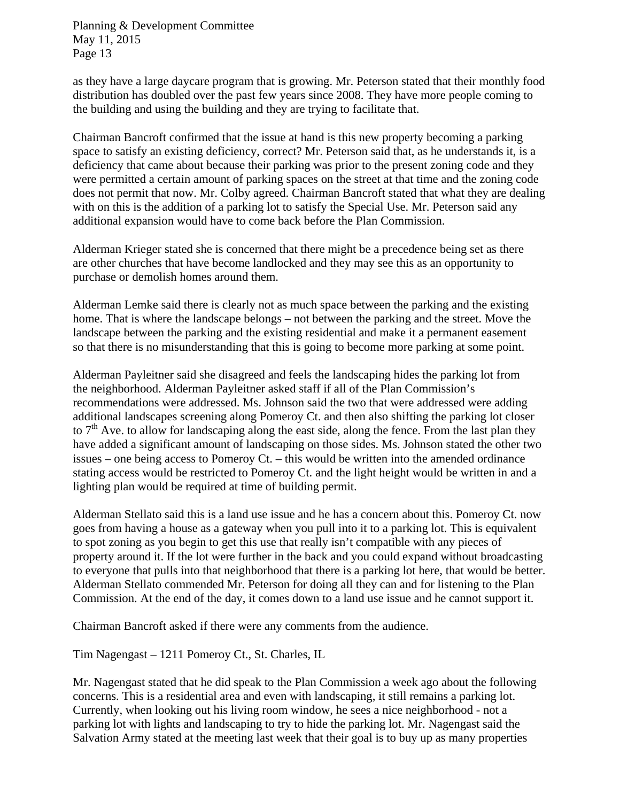as they have a large daycare program that is growing. Mr. Peterson stated that their monthly food distribution has doubled over the past few years since 2008. They have more people coming to the building and using the building and they are trying to facilitate that.

Chairman Bancroft confirmed that the issue at hand is this new property becoming a parking space to satisfy an existing deficiency, correct? Mr. Peterson said that, as he understands it, is a deficiency that came about because their parking was prior to the present zoning code and they were permitted a certain amount of parking spaces on the street at that time and the zoning code does not permit that now. Mr. Colby agreed. Chairman Bancroft stated that what they are dealing with on this is the addition of a parking lot to satisfy the Special Use. Mr. Peterson said any additional expansion would have to come back before the Plan Commission.

Alderman Krieger stated she is concerned that there might be a precedence being set as there are other churches that have become landlocked and they may see this as an opportunity to purchase or demolish homes around them.

Alderman Lemke said there is clearly not as much space between the parking and the existing home. That is where the landscape belongs – not between the parking and the street. Move the landscape between the parking and the existing residential and make it a permanent easement so that there is no misunderstanding that this is going to become more parking at some point.

Alderman Payleitner said she disagreed and feels the landscaping hides the parking lot from the neighborhood. Alderman Payleitner asked staff if all of the Plan Commission's recommendations were addressed. Ms. Johnson said the two that were addressed were adding additional landscapes screening along Pomeroy Ct. and then also shifting the parking lot closer to  $7<sup>th</sup>$  Ave. to allow for landscaping along the east side, along the fence. From the last plan they have added a significant amount of landscaping on those sides. Ms. Johnson stated the other two issues – one being access to Pomeroy Ct. – this would be written into the amended ordinance stating access would be restricted to Pomeroy Ct. and the light height would be written in and a lighting plan would be required at time of building permit.

Alderman Stellato said this is a land use issue and he has a concern about this. Pomeroy Ct. now goes from having a house as a gateway when you pull into it to a parking lot. This is equivalent to spot zoning as you begin to get this use that really isn't compatible with any pieces of property around it. If the lot were further in the back and you could expand without broadcasting to everyone that pulls into that neighborhood that there is a parking lot here, that would be better. Alderman Stellato commended Mr. Peterson for doing all they can and for listening to the Plan Commission. At the end of the day, it comes down to a land use issue and he cannot support it.

Chairman Bancroft asked if there were any comments from the audience.

Tim Nagengast – 1211 Pomeroy Ct., St. Charles, IL

Mr. Nagengast stated that he did speak to the Plan Commission a week ago about the following concerns. This is a residential area and even with landscaping, it still remains a parking lot. Currently, when looking out his living room window, he sees a nice neighborhood - not a parking lot with lights and landscaping to try to hide the parking lot. Mr. Nagengast said the Salvation Army stated at the meeting last week that their goal is to buy up as many properties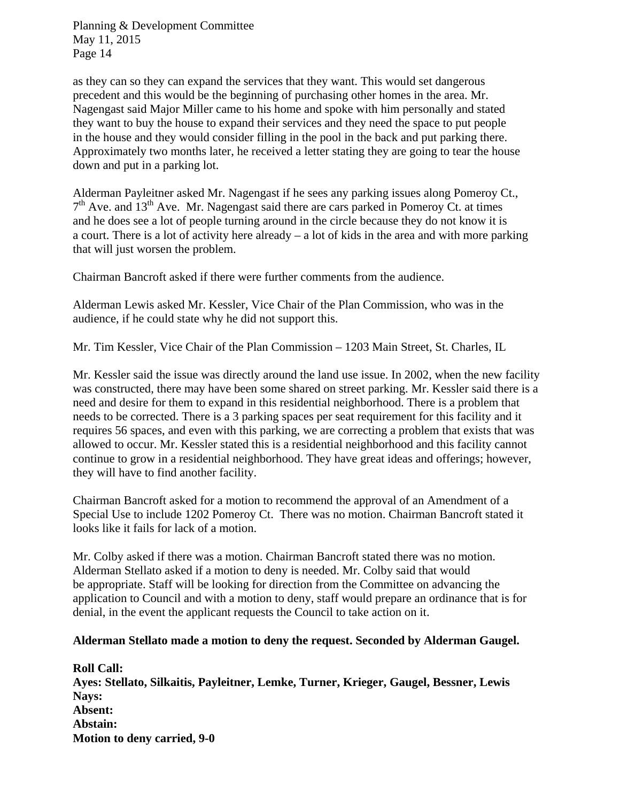as they can so they can expand the services that they want. This would set dangerous precedent and this would be the beginning of purchasing other homes in the area. Mr. Nagengast said Major Miller came to his home and spoke with him personally and stated they want to buy the house to expand their services and they need the space to put people in the house and they would consider filling in the pool in the back and put parking there. Approximately two months later, he received a letter stating they are going to tear the house down and put in a parking lot.

Alderman Payleitner asked Mr. Nagengast if he sees any parking issues along Pomeroy Ct.,  $7<sup>th</sup>$  Ave. and 13<sup>th</sup> Ave. Mr. Nagengast said there are cars parked in Pomeroy Ct. at times and he does see a lot of people turning around in the circle because they do not know it is a court. There is a lot of activity here already – a lot of kids in the area and with more parking that will just worsen the problem.

Chairman Bancroft asked if there were further comments from the audience.

Alderman Lewis asked Mr. Kessler, Vice Chair of the Plan Commission, who was in the audience, if he could state why he did not support this.

Mr. Tim Kessler, Vice Chair of the Plan Commission – 1203 Main Street, St. Charles, IL

Mr. Kessler said the issue was directly around the land use issue. In 2002, when the new facility was constructed, there may have been some shared on street parking. Mr. Kessler said there is a need and desire for them to expand in this residential neighborhood. There is a problem that needs to be corrected. There is a 3 parking spaces per seat requirement for this facility and it requires 56 spaces, and even with this parking, we are correcting a problem that exists that was allowed to occur. Mr. Kessler stated this is a residential neighborhood and this facility cannot continue to grow in a residential neighborhood. They have great ideas and offerings; however, they will have to find another facility.

Chairman Bancroft asked for a motion to recommend the approval of an Amendment of a Special Use to include 1202 Pomeroy Ct. There was no motion. Chairman Bancroft stated it looks like it fails for lack of a motion.

Mr. Colby asked if there was a motion. Chairman Bancroft stated there was no motion. Alderman Stellato asked if a motion to deny is needed. Mr. Colby said that would be appropriate. Staff will be looking for direction from the Committee on advancing the application to Council and with a motion to deny, staff would prepare an ordinance that is for denial, in the event the applicant requests the Council to take action on it.

#### **Alderman Stellato made a motion to deny the request. Seconded by Alderman Gaugel.**

**Roll Call: Ayes: Stellato, Silkaitis, Payleitner, Lemke, Turner, Krieger, Gaugel, Bessner, Lewis Nays: Absent: Abstain: Motion to deny carried, 9-0**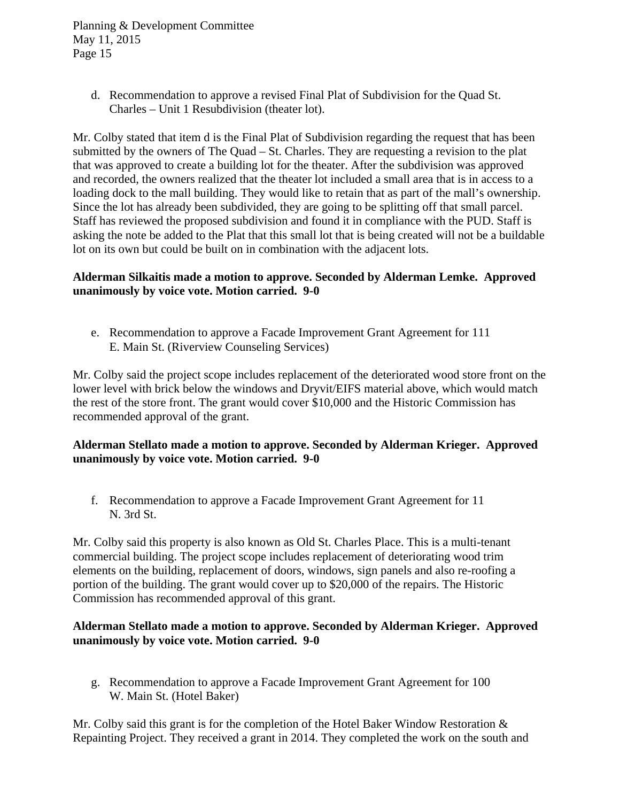> d. Recommendation to approve a revised Final Plat of Subdivision for the Quad St. Charles – Unit 1 Resubdivision (theater lot).

Mr. Colby stated that item d is the Final Plat of Subdivision regarding the request that has been submitted by the owners of The Quad – St. Charles. They are requesting a revision to the plat that was approved to create a building lot for the theater. After the subdivision was approved and recorded, the owners realized that the theater lot included a small area that is in access to a loading dock to the mall building. They would like to retain that as part of the mall's ownership. Since the lot has already been subdivided, they are going to be splitting off that small parcel. Staff has reviewed the proposed subdivision and found it in compliance with the PUD. Staff is asking the note be added to the Plat that this small lot that is being created will not be a buildable lot on its own but could be built on in combination with the adjacent lots.

## **Alderman Silkaitis made a motion to approve. Seconded by Alderman Lemke. Approved unanimously by voice vote. Motion carried. 9-0**

e. Recommendation to approve a Facade Improvement Grant Agreement for 111 E. Main St. (Riverview Counseling Services)

Mr. Colby said the project scope includes replacement of the deteriorated wood store front on the lower level with brick below the windows and Dryvit/EIFS material above, which would match the rest of the store front. The grant would cover \$10,000 and the Historic Commission has recommended approval of the grant.

## **Alderman Stellato made a motion to approve. Seconded by Alderman Krieger. Approved unanimously by voice vote. Motion carried. 9-0**

f. Recommendation to approve a Facade Improvement Grant Agreement for 11 N. 3rd St.

Mr. Colby said this property is also known as Old St. Charles Place. This is a multi-tenant commercial building. The project scope includes replacement of deteriorating wood trim elements on the building, replacement of doors, windows, sign panels and also re-roofing a portion of the building. The grant would cover up to \$20,000 of the repairs. The Historic Commission has recommended approval of this grant.

## **Alderman Stellato made a motion to approve. Seconded by Alderman Krieger. Approved unanimously by voice vote. Motion carried. 9-0**

g. Recommendation to approve a Facade Improvement Grant Agreement for 100 W. Main St. (Hotel Baker)

Mr. Colby said this grant is for the completion of the Hotel Baker Window Restoration  $\&$ Repainting Project. They received a grant in 2014. They completed the work on the south and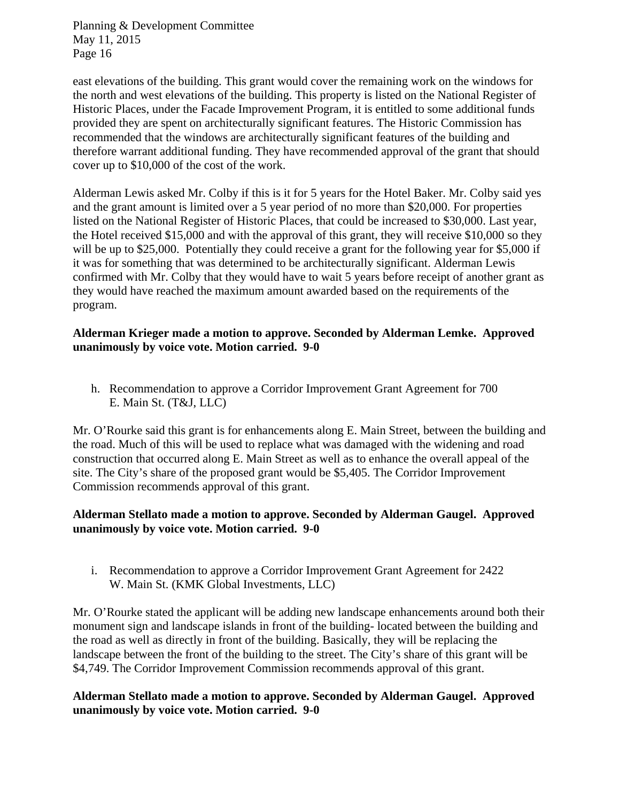east elevations of the building. This grant would cover the remaining work on the windows for the north and west elevations of the building. This property is listed on the National Register of Historic Places, under the Facade Improvement Program, it is entitled to some additional funds provided they are spent on architecturally significant features. The Historic Commission has recommended that the windows are architecturally significant features of the building and therefore warrant additional funding. They have recommended approval of the grant that should cover up to \$10,000 of the cost of the work.

Alderman Lewis asked Mr. Colby if this is it for 5 years for the Hotel Baker. Mr. Colby said yes and the grant amount is limited over a 5 year period of no more than \$20,000. For properties listed on the National Register of Historic Places, that could be increased to \$30,000. Last year, the Hotel received \$15,000 and with the approval of this grant, they will receive \$10,000 so they will be up to \$25,000. Potentially they could receive a grant for the following year for \$5,000 if it was for something that was determined to be architecturally significant. Alderman Lewis confirmed with Mr. Colby that they would have to wait 5 years before receipt of another grant as they would have reached the maximum amount awarded based on the requirements of the program.

## **Alderman Krieger made a motion to approve. Seconded by Alderman Lemke. Approved unanimously by voice vote. Motion carried. 9-0**

h. Recommendation to approve a Corridor Improvement Grant Agreement for 700 E. Main St. (T&J, LLC)

Mr. O'Rourke said this grant is for enhancements along E. Main Street, between the building and the road. Much of this will be used to replace what was damaged with the widening and road construction that occurred along E. Main Street as well as to enhance the overall appeal of the site. The City's share of the proposed grant would be \$5,405. The Corridor Improvement Commission recommends approval of this grant.

# **Alderman Stellato made a motion to approve. Seconded by Alderman Gaugel. Approved unanimously by voice vote. Motion carried. 9-0**

i. Recommendation to approve a Corridor Improvement Grant Agreement for 2422 W. Main St. (KMK Global Investments, LLC)

Mr. O'Rourke stated the applicant will be adding new landscape enhancements around both their monument sign and landscape islands in front of the building- located between the building and the road as well as directly in front of the building. Basically, they will be replacing the landscape between the front of the building to the street. The City's share of this grant will be \$4,749. The Corridor Improvement Commission recommends approval of this grant.

# **Alderman Stellato made a motion to approve. Seconded by Alderman Gaugel. Approved unanimously by voice vote. Motion carried. 9-0**